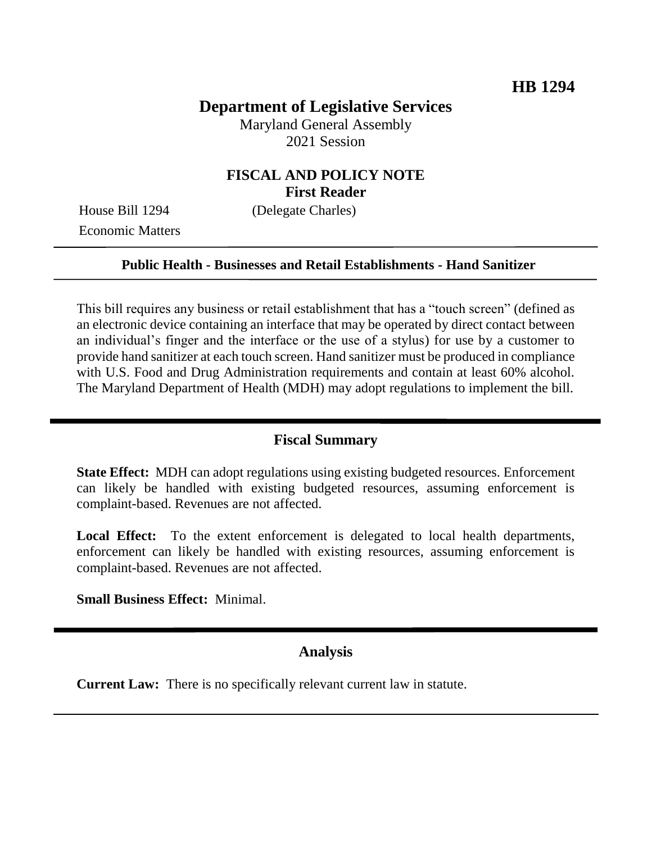# **Department of Legislative Services**

Maryland General Assembly 2021 Session

## **FISCAL AND POLICY NOTE First Reader**

House Bill 1294 (Delegate Charles) Economic Matters

### **Public Health - Businesses and Retail Establishments - Hand Sanitizer**

This bill requires any business or retail establishment that has a "touch screen" (defined as an electronic device containing an interface that may be operated by direct contact between an individual's finger and the interface or the use of a stylus) for use by a customer to provide hand sanitizer at each touch screen. Hand sanitizer must be produced in compliance with U.S. Food and Drug Administration requirements and contain at least 60% alcohol. The Maryland Department of Health (MDH) may adopt regulations to implement the bill.

#### **Fiscal Summary**

**State Effect:** MDH can adopt regulations using existing budgeted resources. Enforcement can likely be handled with existing budgeted resources, assuming enforcement is complaint-based. Revenues are not affected.

Local Effect: To the extent enforcement is delegated to local health departments, enforcement can likely be handled with existing resources, assuming enforcement is complaint-based. Revenues are not affected.

**Small Business Effect:** Minimal.

### **Analysis**

**Current Law:** There is no specifically relevant current law in statute.